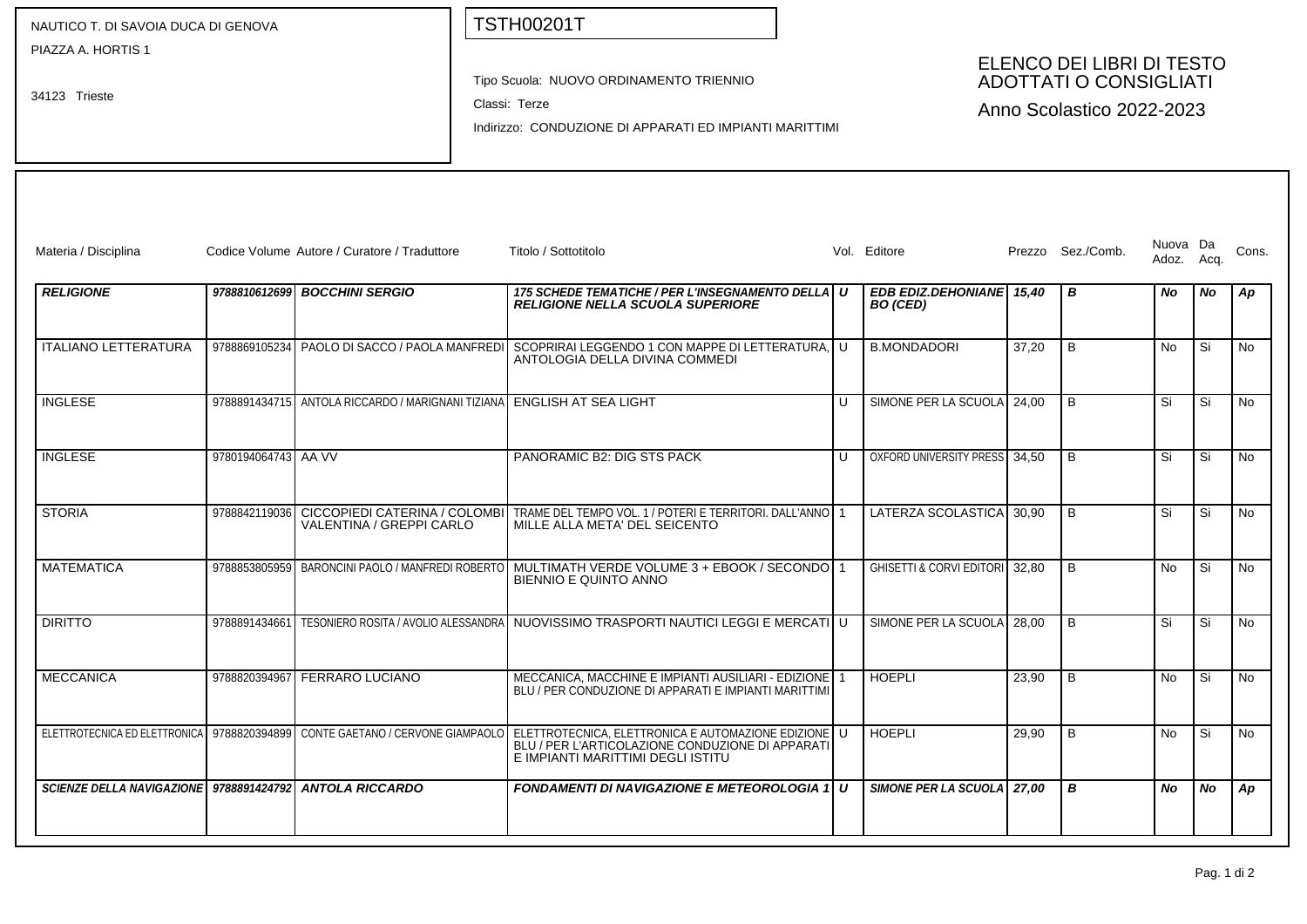| NAUTICO T. DI SAVOIA DUCA DI GENOVA                     |                     |                                                                        | <b>TSTH00201T</b>                                                                                                                                                                                                                   |        |                                             |                                                                                         |                   |                   |      |           |  |
|---------------------------------------------------------|---------------------|------------------------------------------------------------------------|-------------------------------------------------------------------------------------------------------------------------------------------------------------------------------------------------------------------------------------|--------|---------------------------------------------|-----------------------------------------------------------------------------------------|-------------------|-------------------|------|-----------|--|
| PIAZZA A. HORTIS 1<br>34123 Trieste                     |                     |                                                                        | Tipo Scuola: NUOVO ORDINAMENTO TRIENNIO<br>Classi: Terze<br>Indirizzo: CONDUZIONE DI APPARATI ED IMPIANTI MARITTIMI                                                                                                                 |        |                                             | ELENCO DEI LIBRI DI TESTO<br><b>ADOTTATI O CONSIGLIATI</b><br>Anno Scolastico 2022-2023 |                   |                   |      |           |  |
| Materia / Disciplina                                    |                     | Codice Volume Autore / Curatore / Traduttore                           | Titolo / Sottotitolo                                                                                                                                                                                                                |        | Vol. Editore                                |                                                                                         | Prezzo Sez./Comb. | Nuova Da<br>Adoz. | Acq. | Cons.     |  |
| <b>RELIGIONE</b>                                        |                     | 9788810612699 BOCCHINI SERGIO                                          | 175 SCHEDE TEMATICHE / PER L'INSEGNAMENTO DELLA U<br><b>RELIGIONE NELLA SCUOLA SUPERIORE</b>                                                                                                                                        |        | EDB EDIZ.DEHONIANE 15,40<br><b>BO</b> (CED) |                                                                                         | В                 | No                | No   | Ap        |  |
| <b>ITALIANO LETTERATURA</b>                             |                     |                                                                        | 9788869105234 PAOLO DI SACCO / PAOLA MANFREDI SCOPRIRAI LEGGENDO 1 CON MAPPE DI LETTERATURA. U<br>ANTOLOGIA DELLA DIVINA COMMEDI                                                                                                    |        | <b>B.MONDADORI</b>                          | 37,20                                                                                   | B                 | No                | Si   | No        |  |
| <b>INGLESE</b>                                          |                     | 9788891434715 ANTOLA RICCARDO / MARIGNANI TIZIANA ENGLISH AT SEA LIGHT |                                                                                                                                                                                                                                     | $\cup$ | SIMONE PER LA SCUOLA 24,00                  |                                                                                         | B                 | Si                | l Si | No        |  |
| <b>INGLESE</b>                                          | 9780194064743 AA VV |                                                                        | PANORAMIC B2: DIG STS PACK                                                                                                                                                                                                          | $\cup$ | OXFORD UNIVERSITY PRESS 34,50               |                                                                                         | B                 | Si                | Si.  | <b>No</b> |  |
| <b>STORIA</b>                                           | 9788842119036       | VALENTINA / GREPPI CARLO                                               | CICCOPIEDI CATERINA / COLOMBI   TRAME DEL TEMPO VOL. 1 / POTERI E TERRITORI. DALL'ANNO   1<br>MILLE ALLA META' DEL SEICENTO                                                                                                         |        | LATERZA SCOLASTICA 30,90                    |                                                                                         | B                 | Si                | Si   | <b>No</b> |  |
| <b>MATEMATICA</b>                                       |                     |                                                                        | 9788853805959 BARONCINI PAOLO / MANFREDI ROBERTO MULTIMATH VERDE VOLUME 3 + EBOOK / SECONDO 1<br>BIENNIO E QUINTO ANNO                                                                                                              |        | GHISETTI & CORVI EDITORI 32,80              |                                                                                         | B                 | No                | Si   | <b>No</b> |  |
| <b>DIRITTO</b>                                          | 9788891434661       |                                                                        | TESONIERO ROSITA / AVOLIO ALESSANDRA NUOVISSIMO TRASPORTI NAUTICI LEGGI E MERCATI U                                                                                                                                                 |        | SIMONE PER LA SCUOLA                        | 28,00                                                                                   | B                 | Si                | Si   | No        |  |
| <b>MECCANICA</b>                                        | 9788820394967       | <b>FERRARO LUCIANO</b>                                                 | MECCANICA, MACCHINE E IMPIANTI AUSILIARI - EDIZIONE<br>BLU / PER CONDUZIONE DI APPARATI E IMPIANTI MARITTIMI                                                                                                                        |        | <b>HOEPLI</b>                               | 23,90                                                                                   | B                 | No                | Si   | No        |  |
|                                                         |                     |                                                                        | ELETTROTECNICA ED ELETTRONICA   9788820394899   CONTE GAETANO / CERVONE GIAMPAOLO   ELETTROTECNICA, ELETTRONICA E AUTOMAZIONE EDIZIONE   U<br>BLU / PER L'ARTICOLAZIONE CONDUZIONE DI APPARATI<br>E IMPIANTI MARITTIMI DEGLI ISTITU |        | <b>HOEPLI</b>                               | 29,90                                                                                   | B                 | No                | Si   | <b>No</b> |  |
| SCIENZE DELLA NAVIGAZIONE 9788891424792 ANTOLA RICCARDO |                     |                                                                        | <b>FONDAMENTI DI NAVIGAZIONE E METEOROLOGIA 1 U</b>                                                                                                                                                                                 |        | SIMONE PER LA SCUOLA 27,00                  |                                                                                         | B                 | No                | No   | Ap        |  |